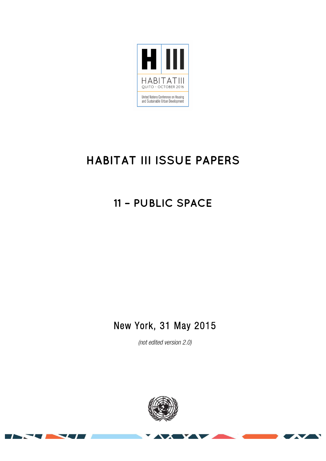

# **HABITAT III ISSUE PAPERS**

## **11 – PUBLIC SPACE**

### New York, 31 May 2015

*(not edited version* 2.0*)*



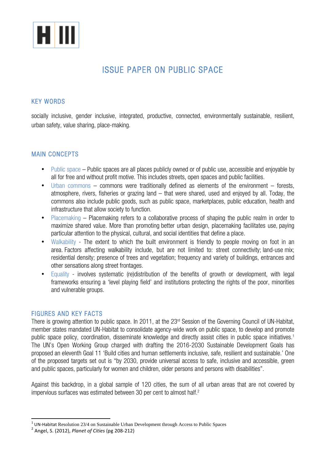

### ISSUE PAPER ON PUBLIC SPACE

#### KEY WORDS

socially inclusive, gender inclusive, integrated, productive, connected, environmentally sustainable, resilient, urban safety, value sharing, place-making.

#### MAIN CONCEPTS

- Public space Public spaces are all places publicly owned or of public use, accessible and enjoyable by all for free and without profit motive. This includes streets, open spaces and public facilities.
- Urban commons commons were traditionally defined as elements of the environment forests, atmosphere, rivers, fisheries or grazing land – that were shared, used and enjoyed by all. Today, the commons also include public goods, such as public space, marketplaces, public education, health and infrastructure that allow society to function.
- Placemaking Placemaking refers to a collaborative process of shaping the public realm in order to maximize shared value. More than promoting better urban design, placemaking facilitates use, paying particular attention to the physical, cultural, and social identities that define a place.
- Walkability The extent to which the built environment is friendly to people moving on foot in an area. Factors affecting walkability include, but are not limited to: street connectivity; land-use mix; residential density; presence of trees and vegetation; frequency and variety of buildings, entrances and other sensations along street frontages.
- Equality involves systematic (re)distribution of the benefits of growth or development, with legal frameworks ensuring a 'level playing field' and institutions protecting the rights of the poor, minorities and vulnerable groups.

#### FIGURES AND KEY FACTS

There is growing attention to public space. In 2011, at the 23<sup>rd</sup> Session of the Governing Council of UN-Habitat, member states mandated UN-Habitat to consolidate agency-wide work on public space, to develop and promote public space policy, coordination, disseminate knowledge and directly assist cities in public space initiatives.<sup>1</sup> The UN's Open Working Group charged with drafting the 2016-2030 Sustainable Development Goals has proposed an eleventh Goal 11 'Build cities and human settlements inclusive, safe, resilient and sustainable.' One of the proposed targets set out is "by 2030, provide universal access to safe, inclusive and accessible, green and public spaces, particularly for women and children, older persons and persons with disabilities".

Against this backdrop, in a global sample of 120 cities, the sum of all urban areas that are not covered by impervious surfaces was estimated between 30 per cent to almost half.<sup>2</sup>

<sup>&</sup>lt;sup>1</sup> UN-Habitat Resolution 23/4 on Sustainable Urban Development through Access to Public Spaces  $2^2$  Angel, S. (2012), *Planet of Cities* (pg 208-212)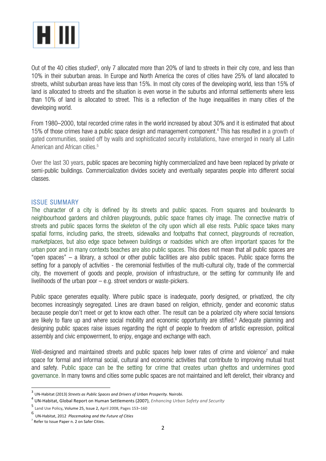

Out of the 40 cities studied<sup>3</sup>, only 7 allocated more than 20% of land to streets in their city core, and less than 10% in their suburban areas. In Europe and North America the cores of cities have 25% of land allocated to streets, whilst suburban areas have less than 15%. In most city cores of the developing world, less than 15% of land is allocated to streets and the situation is even worse in the suburbs and informal settlements where less than 10% of land is allocated to street. This is a reflection of the huge inequalities in many cities of the developing world.

From 1980–2000, total recorded crime rates in the world increased by about 30% and it is estimated that about 15% of those crimes have a public space design and management component. <sup>4</sup> This has resulted in a growth of gated communities, sealed off by walls and sophisticated security installations, have emerged in nearly all Latin American and African cities.<sup>5</sup>

Over the last 30 years, public spaces are becoming highly commercialized and have been replaced by private or semi-public buildings. Commercialization divides society and eventually separates people into different social classes.

#### ISSUE SUMMARY

The character of a city is defined by its streets and public spaces. From squares and boulevards to neighbourhood gardens and children playgrounds, public space frames city image. The connective matrix of streets and public spaces forms the skeleton of the city upon which all else rests. Public space takes many spatial forms, including parks, the streets, sidewalks and footpaths that connect, playgrounds of recreation, marketplaces, but also edge space between buildings or roadsides which are often important spaces for the urban poor and in many contexts beaches are also public spaces. This does not mean that all public spaces are "open spaces" – a library, a school or other public facilities are also public spaces. Public space forms the setting for a panoply of activities - the ceremonial festivities of the multi-cultural city, trade of the commercial city, the movement of goods and people, provision of infrastructure, or the setting for community life and livelihoods of the urban poor – e.g. street vendors or waste-pickers.

Public space generates equality. Where public space is inadequate, poorly designed, or privatized, the city becomes increasingly segregated. Lines are drawn based on religion, ethnicity, gender and economic status because people don't meet or get to know each other. The result can be a polarized city where social tensions are likely to flare up and where social mobility and economic opportunity are stifled.<sup>6</sup> Adequate planning and designing public spaces raise issues regarding the right of people to freedom of artistic expression, political assembly and civic empowerment, to enjoy, engage and exchange with each.

Well-designed and maintained streets and public spaces help lower rates of crime and violence<sup>7</sup> and make space for formal and informal social, cultural and economic activities that contribute to improving mutual trust and safety. Public space can be the setting for crime that creates urban ghettos and undermines good governance. In many towns and cities some public spaces are not maintained and left derelict, their vibrancy and

<sup>&</sup>lt;sup>3</sup> UN-Habitat (2013) *Streets as Public Spaces and Drivers of Urban Prosperity.* Nairobi.

<sup>&</sup>lt;sup>4</sup> UN-Habitat, Global Report on Human Settlements (2007), *Enhancing Urban Safety and Security* 

<sup>5</sup> Land Use Policy, Volume 25, Issue 2, April 2008, Pages 153-160

<sup>6</sup> UN-Habitat, 2012 *Placemaking and the Future of Cities*

 $7$  Refer to Issue Paper n. 2 on Safer Cities.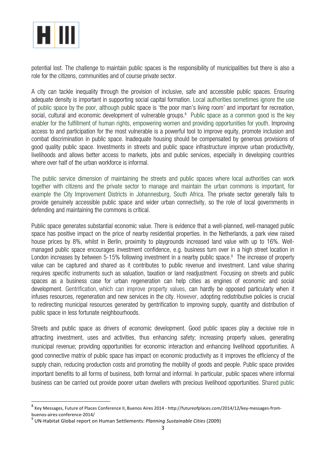

potential lost. The challenge to maintain public spaces is the responsibility of municipalities but there is also a role for the citizens, communities and of course private sector.

A city can tackle inequality through the provision of inclusive, safe and accessible public spaces. Ensuring adequate density is important in supporting social capital formation. Local authorities sometimes ignore the use of public space by the poor, although public space is 'the poor man's living room' and important for recreation, social, cultural and economic development of vulnerable groups.<sup>8</sup> Public space as a common good is the key enabler for the fulfillment of human rights, empowering women and providing opportunities for youth. Improving access to and participation for the most vulnerable is a powerful tool to improve equity, promote inclusion and combat discrimination in public space. Inadequate housing should be compensated by generous provisions of good quality public space. Investments in streets and public space infrastructure improve urban productivity, livelihoods and allows better access to markets, jobs and public services, especially in developing countries where over half of the urban workforce is informal.

The public service dimension of maintaining the streets and public spaces where local authorities can work together with citizens and the private sector to manage and maintain the urban commons is important, for example the City Improvement Districts in Johannesburg, South Africa. The private sector generally fails to provide genuinely accessible public space and wider urban connectivity, so the role of local governments in defending and maintaining the commons is critical.

Public space generates substantial economic value. There is evidence that a well-planned, well-managed public space has positive impact on the price of nearby residential properties. In the Netherlands, a park view raised house prices by 8%, whilst in Berlin, proximity to playgrounds increased land value with up to 16%. Wellmanaged public space encourages investment confidence, e.g. business turn over in a high street location in London increases by between 5-15% following investment in a nearby public space.<sup>9</sup> The increase of property value can be captured and shared as it contributes to public revenue and investment. Land value sharing requires specific instruments such as valuation, taxation or land readjustment. Focusing on streets and public spaces as a business case for urban regeneration can help cities as engines of economic and social development. Gentrification, which can improve property values, can hardly be opposed particularly when it infuses resources, regeneration and new services in the city. However, adopting redistributive policies is crucial to redirecting municipal resources generated by gentrification to improving supply, quantity and distribution of public space in less fortunate neighbourhoods.

Streets and public space as drivers of economic development. Good public spaces play a decisive role in attracting investment, uses and activities, thus enhancing safety; increasing property values, generating municipal revenue; providing opportunities for economic interaction and enhancing livelihood opportunities. A good connective matrix of public space has impact on economic productivity as it improves the efficiency of the supply chain, reducing production costs and promoting the mobility of goods and people. Public space provides important benefits to all forms of business, both formal and informal. In particular, public spaces where informal business can be carried out provide poorer urban dwellers with precious livelihood opportunities. Shared public

 $^8$  Key Messages, Future of Places Conference II, Buenos Aires 2014 - http://futureofplaces.com/2014/12/key-messages-from-

buenos-aires-conference-2014/<br><sup>9</sup> UN-Habitat Global report on Human Settlements: *Planning Sustainable Cities* (2009)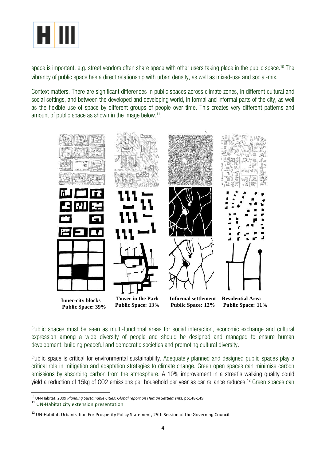

space is important, e.g. street vendors often share space with other users taking place in the public space.<sup>10</sup> The vibrancy of public space has a direct relationship with urban density, as well as mixed-use and social-mix.

Context matters. There are significant differences in public spaces across climate zones, in different cultural and social settings, and between the developed and developing world, in formal and informal parts of the city, as well as the flexible use of space by different groups of people over time. This creates very different patterns and amount of public space as shown in the image below.<sup>11</sup>.



Public spaces must be seen as multi-functional areas for social interaction, economic exchange and cultural expression among a wide diversity of people and should be designed and managed to ensure human development, building peaceful and democratic societies and promoting cultural diversity.

Public space is critical for environmental sustainability. Adequately planned and designed public spaces play a critical role in mitigation and adaptation strategies to climate change. Green open spaces can minimise carbon emissions by absorbing carbon from the atmosphere. A 10% improvement in a street's walking quality could yield a reduction of 15kg of CO2 emissions per household per year as car reliance reduces. <sup>12</sup> Green spaces can

<sup>&</sup>lt;sup>10</sup> UN-Habitat, 2009 *Planning Sustainable Cities: Global report on Human Settlements, pp148-149* 11 UN-Habitat city extension presentation

<sup>&</sup>lt;sup>12</sup> UN-Habitat, Urbanization For Prosperity Policy Statement, 25th Session of the Governing Council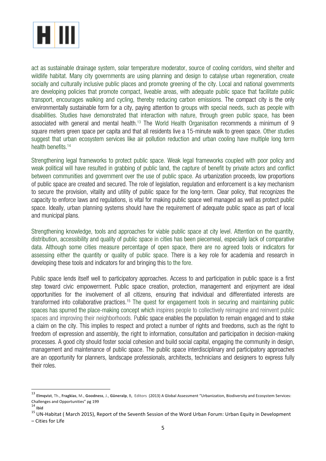

act as sustainable drainage system, solar temperature moderator, source of cooling corridors, wind shelter and wildlife habitat. Many city governments are using planning and design to catalyse urban regeneration, create socially and culturally inclusive public places and promote greening of the city. Local and national governments are developing policies that promote compact, liveable areas, with adequate public space that facilitate public transport, encourages walking and cycling, thereby reducing carbon emissions. The compact city is the only environmentally sustainable form for a city, paying attention to groups with special needs, such as people with disabilities. Studies have demonstrated that interaction with nature, through green public space, has been associated with general and mental health. <sup>13</sup> The World Health Organisation recommends a minimum of 9 square meters green space per capita and that all residents live a 15-minute walk to green space. Other studies suggest that urban ecosystem services like air pollution reduction and urban cooling have multiple long term health benefits.<sup>14</sup>

Strengthening legal frameworks to protect public space. Weak legal frameworks coupled with poor policy and weak political will have resulted in grabbing of public land, the capture of benefit by private actors and conflict between communities and government over the use of public space. As urbanization proceeds, low proportions of public space are created and secured. The role of legislation, regulation and enforcement is a key mechanism to secure the provision, vitality and utility of public space for the long-term. Clear policy, that recognizes the capacity to enforce laws and regulations, is vital for making public space well managed as well as protect public space. Ideally, urban planning systems should have the requirement of adequate public space as part of local and municipal plans.

Strengthening knowledge, tools and approaches for viable public space at city level. Attention on the quantity, distribution, accessibility and quality of public space in cities has been piecemeal, especially lack of comparative data. Although some cities measure percentage of open space, there are no agreed tools or indicators for assessing either the quantity or quality of public space. There is a key role for academia and research in developing these tools and indicators for and bringing this to the fore.

Public space lends itself well to participatory approaches. Access to and participation in public space is a first step toward civic empowerment. Public space creation, protection, management and enjoyment are ideal opportunities for the involvement of all citizens, ensuring that individual and differentiated interests are transformed into collaborative practices.<sup>15</sup> The quest for engagement tools in securing and maintaining public spaces has spurred the place-making concept which inspires people to collectively reimagine and reinvent public spaces and improving their neighborhoods. Public space enables the population to remain engaged and to stake a claim on the city. This implies to respect and protect a number of rights and freedoms, such as the right to freedom of expression and assembly, the right to information, consultation and participation in decision-making processes. A good city should foster social cohesion and build social capital, engaging the community in design, management and maintenance of public space. The public space interdisciplinary and participatory approaches are an opportunity for planners, landscape professionals, architects, technicians and designers to express fully their roles.

 

<sup>13</sup> **Elmqvist**, Th., **Fragkias**, M., **Goodness**, J., Güneralp, B, Editors (2013) A Global Assessment "Urbanization, Biodiversity and Ecosystem Services: Challenges and Opportunities" pg 199<br><sup>14</sup> Ibid

 $15$  UN-Habitat ( March 2015), Report of the Seventh Session of the Word Urban Forum: Urban Equity in Development

<sup>–</sup> Cities for Life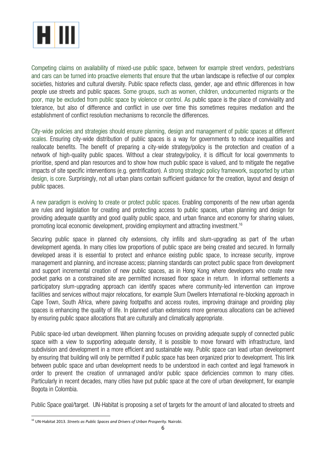

Competing claims on availability of mixed-use public space, between for example street vendors, pedestrians and cars can be turned into proactive elements that ensure that the urban landscape is reflective of our complex societies, histories and cultural diversity. Public space reflects class, gender, age and ethnic differences in how people use streets and public spaces. Some groups, such as women, children, undocumented migrants or the poor, may be excluded from public space by violence or control. As public space is the place of conviviality and tolerance, but also of difference and conflict in use over time this sometimes requires mediation and the establishment of conflict resolution mechanisms to reconcile the differences.

City-wide policies and strategies should ensure planning, design and management of public spaces at different scales. Ensuring city-wide distribution of public spaces is a way for governments to reduce inequalities and reallocate benefits. The benefit of preparing a city-wide strategy/policy is the protection and creation of a network of high-quality public spaces. Without a clear strategy/policy, it is difficult for local governments to prioritise, spend and plan resources and to show how much public space is valued, and to mitigate the negative impacts of site specific interventions (e.g. gentrification). A strong strategic policy framework, supported by urban design, is core. Surprisingly, not all urban plans contain sufficient guidance for the creation, layout and design of public spaces.

A new paradigm is evolving to create or protect public spaces. Enabling components of the new urban agenda are rules and legislation for creating and protecting access to public spaces, urban planning and design for providing adequate quantity and good quality public space, and urban finance and economy for sharing values, promoting local economic development, providing employment and attracting investment. 16

Securing public space in planned city extensions, city infills and slum-upgrading as part of the urban development agenda. In many cities low proportions of public space are being created and secured. In formally developed areas it is essential to protect and enhance existing public space, to increase security, improve management and planning, and increase access; planning standards can protect public space from development and support incremental creation of new public spaces, as in Hong Kong where developers who create new pocket parks on a constrained site are permitted increased floor space in return. In informal settlements a participatory slum-upgrading approach can identify spaces where community-led intervention can improve facilities and services without major relocations, for example Slum Dwellers International re-blocking approach in Cape Town, South Africa, where paving footpaths and access routes, improving drainage and providing play spaces is enhancing the quality of life. In planned urban extensions more generous allocations can be achieved by ensuring public space allocations that are culturally and climatically appropriate.

Public space-led urban development. When planning focuses on providing adequate supply of connected public space with a view to supporting adequate density, it is possible to move forward with infrastructure, land subdivision and development in a more efficient and sustainable way. Public space can lead urban development by ensuring that building will only be permitted if public space has been organized prior to development. This link between public space and urban development needs to be understood in each context and legal framework in order to prevent the creation of unmanaged and/or public space deficiencies common to many cities. Particularly in recent decades, many cities have put public space at the core of urban development, for example Bogota in Colombia.

Public Space goal/target. UN-Habitat is proposing a set of targets for the amount of land allocated to streets and

<sup>&</sup>lt;sup>16</sup> UN-Habitat 2013. *Streets as Public Spaces and Drivers of Urban Prosperity.* Nairobi.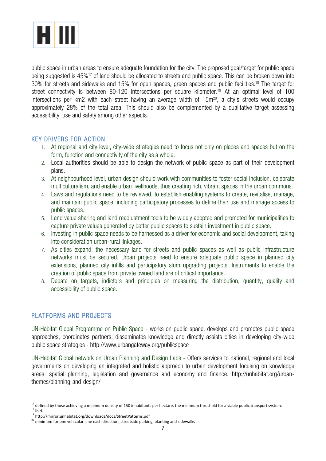

public space in urban areas to ensure adequate foundation for the city. The proposed goal/target for public space being suggested is 45%<sup>17</sup> of land should be allocated to streets and public space. This can be broken down into 30% for streets and sidewalks and 15% for open spaces, green spaces and public facilities. <sup>18</sup> The target for street connectivity is between 80-120 intersections per square kilometer. <sup>19</sup> At an optimal level of 100 intersections per km2 with each street having an average width of  $15m^{20}$ , a city's streets would occupy approximately 28% of the total area. This should also be complemented by a qualitative target assessing accessibility, use and safety among other aspects.

#### KEY DRIVERS FOR ACTION

- 1. At regional and city level, city-wide strategies need to focus not only on places and spaces but on the form, function and connectivity of the city as a whole.
- 2. Local authorities should be able to design the network of public space as part of their development plans.
- 3. At neighbourhood level, urban design should work with communities to foster social inclusion, celebrate multiculturalism, and enable urban livelihoods, thus creating rich, vibrant spaces in the urban commons.
- 4. Laws and regulations need to be reviewed, to establish enabling systems to create, revitalise, manage, and maintain public space, including participatory processes to define their use and manage access to public spaces.
- 5. Land value sharing and land readjustment tools to be widely adopted and promoted for municipalities to capture private values generated by better public spaces to sustain investment in public space.
- 6. Investing in public space needs to be harnessed as a driver for economic and social development, taking into consideration urban-rural linkages.
- 7. As cities expand, the necessary land for streets and public spaces as well as public infrastructure networks must be secured. Urban projects need to ensure adequate public space in planned city extensions, planned city infills and participatory slum upgrading projects. Instruments to enable the creation of public space from private owned land are of critical importance.
- 8. Debate on targets, indictors and principles on measuring the distribution, quantity, quality and accessibility of public space.

#### PLATFORMS AND PROJECTS

<u> 1989 - Jan Samuel Barbara, margaret e</u>

UN-Habitat Global Programme on Public Space - works on public space, develops and promotes public space approaches, coordinates partners, disseminates knowledge and directly assists cities in developing city-wide public space strategies - http://www.urbangateway.org/publicspace

UN-Habitat Global network on Urban Planning and Design Labs - Offers services to national, regional and local governments on developing an integrated and holistic approach to urban development focusing on knowledge areas: spatial planning, legislation and governance and economy and finance. http://unhabitat.org/urbanthemes/planning-and-design/

 $^{17}$  defined by those achieving a minimum density of 150 inhabitants per hectare, the minimum threshold for a viable public transport system.

 $18$  Ibid.

<sup>19</sup> http://mirror.unhabitat.org/downloads/docs/StreetPatterns.pdf

 $20$  minimum for one vehicular lane each direction, streetside parking, planting and sidewalks